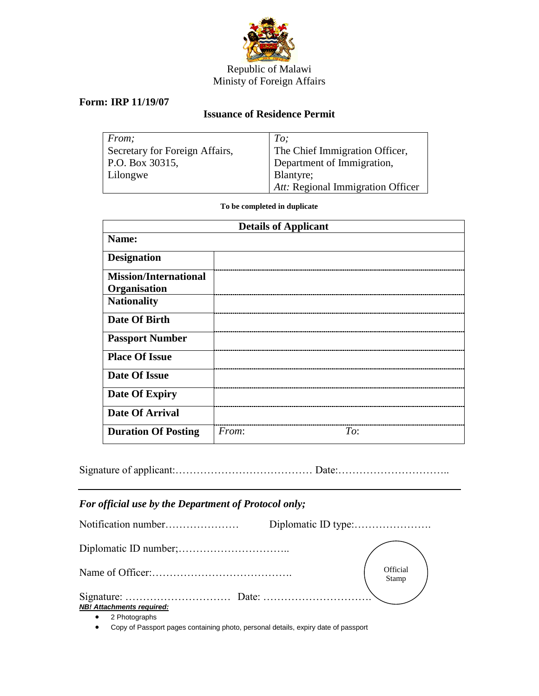

## Republic of Malawi Ministy of Foreign Affairs

## **Form: IRP 11/19/07**

## **Issuance of Residence Permit**

| From:                          | To:                               |
|--------------------------------|-----------------------------------|
| Secretary for Foreign Affairs, | The Chief Immigration Officer,    |
| P.O. Box 30315,                | Department of Immigration,        |
| Lilongwe                       | <b>Blantyre</b> ;                 |
|                                | Att: Regional Immigration Officer |

**To be completed in duplicate**

| <b>Details of Applicant</b>  |       |     |  |
|------------------------------|-------|-----|--|
| Name:                        |       |     |  |
| <b>Designation</b>           |       |     |  |
| <b>Mission/International</b> |       |     |  |
| Organisation                 |       |     |  |
| <b>Nationality</b>           |       |     |  |
| Date Of Birth                |       |     |  |
| <b>Passport Number</b>       |       |     |  |
| <b>Place Of Issue</b>        |       |     |  |
| <b>Date Of Issue</b>         |       |     |  |
| Date Of Expiry               |       |     |  |
| <b>Date Of Arrival</b>       |       |     |  |
| <b>Duration Of Posting</b>   | From: | To: |  |

|--|--|--|--|--|

## *For official use by the Department of Protocol only;*

|                                  | Official<br>Stamp |
|----------------------------------|-------------------|
| <b>NB! Attachments required:</b> |                   |
| 2 Photographs                    |                   |

Copy of Passport pages containing photo, personal details, expiry date of passport